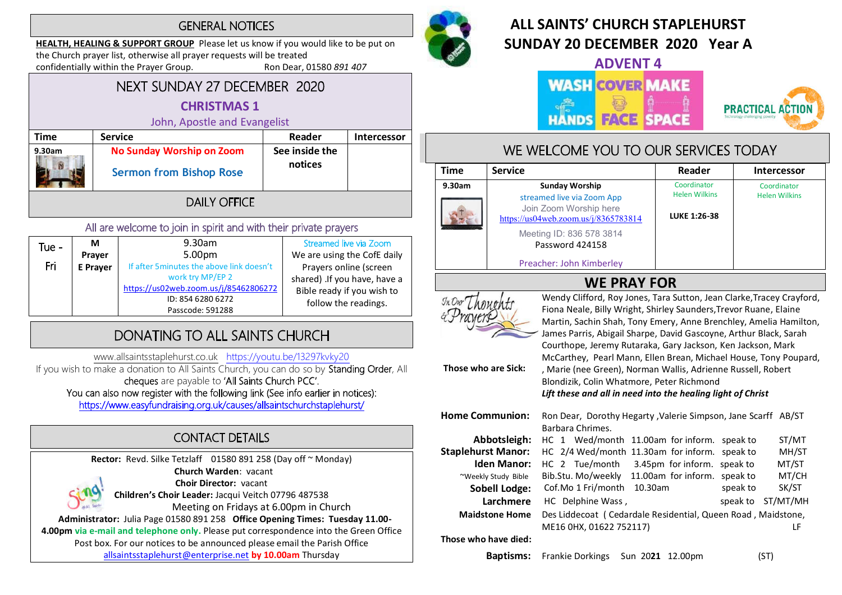## **GENERAL NOTICES**

HEALTH, HEALING & SUPPORT GROUP Please let us know if you would like to be put on the Church prayer list, otherwise all prayer requests will be treated<br>confidentially within the Prayer Group. Ron Dear, 01580 891 407 confidentially within the Prayer Group.

## NEXT SUNDAY 27 DECEMBER 2020 CHRISTMAS 1

## John, Apostle and Evangelist

| Time   | <b>Service</b>                                                     | Reader                    | <b>Intercessor</b> |
|--------|--------------------------------------------------------------------|---------------------------|--------------------|
| 9.30am | <b>No Sunday Worship on Zoom</b><br><b>Sermon from Bishop Rose</b> | See inside the<br>notices |                    |
|        |                                                                    |                           |                    |
|        |                                                                    |                           |                    |

## All are welcome to join in spirit and with their private prayers

| Tue - | M        | 9.30am                                    | Streamed live via Zoom       |
|-------|----------|-------------------------------------------|------------------------------|
|       | Prayer   | 5.00 <sub>pm</sub>                        | We are using the CofE daily  |
| Fri   | E Prayer | If after 5 minutes the above link doesn't | Prayers online (screen       |
|       |          | work try MP/EP 2                          | shared) .If you have, have a |
|       |          | https://us02web.zoom.us/j/85462806272     | Bible ready if you wish to   |
|       |          | ID: 854 6280 6272                         | follow the readings.         |
|       |          | Passcode: 591288                          |                              |

# DONATING TO ALL SAINTS CHURCH

www.allsaintsstaplehurst.co.uk https://youtu.be/13297kvky20

If you wish to make a donation to All Saints Church, you can do so by Standing Order, All cheques are payable to 'All Saints Church PCC'. You can also now register with the following link (See info earlier in notices):

https://www.easyfundraising.org.uk/causes/allsaintschurchstaplehurst/

# **CONTACT DETAILS**

Rector: Revd. Silke Tetzlaff 01580 891 258 (Day off ~ Monday) Church Warden: vacant Choir Director: vacant Children's Choir Leader: Jacqui Veitch 07796 487538 Meeting on Fridays at 6.00pm in Church Administrator: Julia Page 01580 891 258 Office Opening Times: Tuesday 11.00- 4.00pm via e-mail and telephone only. Please put correspondence into the Green Office Post box. For our notices to be announced please email the Parish Office allsaintsstaplehurst@enterprise.net by 10.00am Thursday



# ALL SAINTS' CHURCH STAPI FHURST SUNDAY 20 DECEMBER 2020 Year A

ADVENT 4

### **WASH COVER MAKE FACE SPACE HANDS**



# WE WELCOME YOU TO OUR SERVICES TODAY

| <b>Time</b> | <b>Service</b>                                                                                                        | Reader                                                     | <b>Intercessor</b>                  |
|-------------|-----------------------------------------------------------------------------------------------------------------------|------------------------------------------------------------|-------------------------------------|
| 9.30am      | <b>Sunday Worship</b><br>streamed live via Zoom App<br>Join Zoom Worship here<br>https://us04web.zoom.us/j/8365783814 | Coordinator<br><b>Helen Wilkins</b><br><b>LUKE 1:26-38</b> | Coordinator<br><b>Helen Wilkins</b> |
|             | Meeting ID: 836 578 3814<br>Password 424158<br>Preacher: John Kimberley                                               |                                                            |                                     |



Those who are Sick:

WE PRAY FOR<br>
SkDur Though tracey Crayford, Roy Jones, Tara Sutton, Jean Clarke, Tracey Crayford, Fiona Neale, Billy Wright, Shirley Saunders,Trevor Ruane, Elaine Martin, Sachin Shah, Tony Emery, Anne Brenchley, Amelia Hamilton, James Parris, Abigail Sharpe, David Gascoyne, Arthur Black, Sarah Courthope, Jeremy Rutaraka, Gary Jackson, Ken Jackson, Mark McCarthey, Pearl Mann, Ellen Brean, Michael House, Tony Poupard, , Marie (nee Green), Norman Wallis, Adrienne Russell, Robert Blondizik, Colin Whatmore, Peter Richmond Lift these and all in need into the healing light of Christ

| <b>Home Communion:</b>    | Ron Dear, Dorothy Hegarty , Valerie Simpson, Jane Scarff AB/ST |          |
|---------------------------|----------------------------------------------------------------|----------|
|                           | Barbara Chrimes.                                               |          |
| Abbotsleigh:              | HC 1 Wed/month 11.00am for inform. speak to                    | ST/MT    |
| <b>Staplehurst Manor:</b> | HC 2/4 Wed/month 11.30am for inform. speak to                  | MH/ST    |
| <b>Iden Manor:</b>        | HC 2 Tue/month 3.45pm for inform. speak to                     | MT/ST    |
| ~Weekly Study Bible       | Bib.Stu. Mo/weekly 11.00am for inform. speak to                | MT/CH    |
| <b>Sobell Lodge:</b>      | Cof.Mo 1 Fri/month<br>10.30am<br>speak to                      | SK/ST    |
| Larchmere                 | HC Delphine Wass,<br>speak to                                  | ST/MT/MH |
| <b>Maidstone Home</b>     | Des Liddecoat (Cedardale Residential, Queen Road, Maidstone,   |          |
|                           | ME16 0HX, 01622 752117)                                        | LF       |
| Those who have died:      |                                                                |          |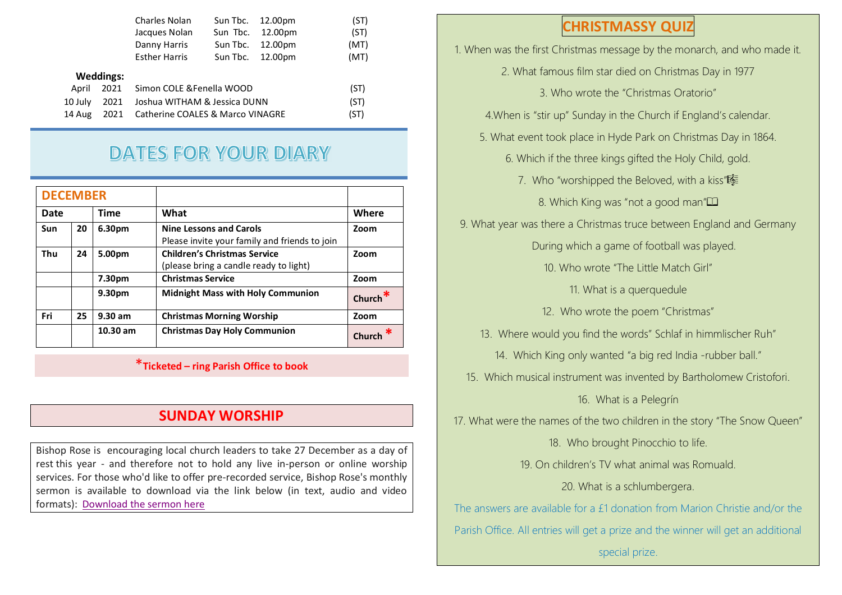|         |                  | Charles Nolan                    | Sun Tbc. | 12.00pm | (ST) |
|---------|------------------|----------------------------------|----------|---------|------|
|         |                  | Jacques Nolan                    | Sun Tbc. | 12.00pm | (ST) |
|         |                  | Danny Harris                     | Sun Tbc. | 12.00pm | (MT) |
|         |                  | <b>Esther Harris</b>             | Sun Tbc. | 12.00pm | (MT) |
|         | <b>Weddings:</b> |                                  |          |         |      |
| April   | 2021             | Simon COLE & Fenella WOOD        |          |         | (ST) |
| 10 July | 2021             | Joshua WITHAM & Jessica DUNN     |          |         | (ST) |
| 14 Aug  | 2021             | Catherine COALES & Marco VINAGRE |          |         | (ST) |
|         |                  |                                  |          |         |      |

# **DATES FOR YOUR DIARY**

| <b>DECEMBER</b> |    |             |                                                                                 |            |
|-----------------|----|-------------|---------------------------------------------------------------------------------|------------|
| Date            |    | <b>Time</b> | What                                                                            | Where      |
| <b>Sun</b>      | 20 | 6.30pm      | <b>Nine Lessons and Carols</b><br>Please invite your family and friends to join | Zoom       |
| Thu             | 24 | 5.00pm      | <b>Children's Christmas Service</b><br>(please bring a candle ready to light)   | Zoom       |
|                 |    | 7.30pm      | <b>Christmas Service</b>                                                        | Zoom       |
|                 |    | 9.30pm      | <b>Midnight Mass with Holy Communion</b>                                        | Church $*$ |
| Fri             | 25 | $9.30$ am   | <b>Christmas Morning Worship</b>                                                | Zoom       |
|                 |    | $10.30$ am  | <b>Christmas Day Holy Communion</b>                                             | Churcl     |

\*Ticketed – ring Parish Office to book

## SUNDAY WORSHIP

Bishop Rose is encouraging local church leaders to take 27 December as a day of rest this year - and therefore not to hold any live in-person or online worship services. For those who'd like to offer pre-recorded service, Bishop Rose's monthly sermon is available to download via the link below (in text, audio and video formats): Download the sermon here

# CHRISTMASSY QUIZ

1. When was the first Christmas message by the monarch, and who made it.

- 2. What famous film star died on Christmas Day in 1977
	- 3. Who wrote the "Christmas Oratorio"

4.When is "stir up" Sunday in the Church if England's calendar.

- 5. What event took place in Hyde Park on Christmas Day in 1864.
	- 6. Which if the three kings gifted the Holy Child, gold.
		- 7. Who "worshipped the Beloved, with a kiss"
			- 8. Which King was "not a good man"

9. What year was there a Christmas truce between England and Germany

During which a game of football was played.

10. Who wrote "The Little Match Girl"

11. What is a querquedule

12. Who wrote the poem "Christmas"

- 13. Where would you find the words" Schlaf in himmlischer Ruh"
	- 14. Which King only wanted "a big red India -rubber ball."
- 15. Which musical instrument was invented by Bartholomew Cristofori.

16. What is a Pelegrín

17. What were the names of the two children in the story "The Snow Queen"

18. Who brought Pinocchio to life.

19. On children's TV what animal was Romuald.

20. What is a schlumbergera.

The answers are available for a £1 donation from Marion Christie and/or the Parish Office. All entries will get a prize and the winner will get an additional

special prize.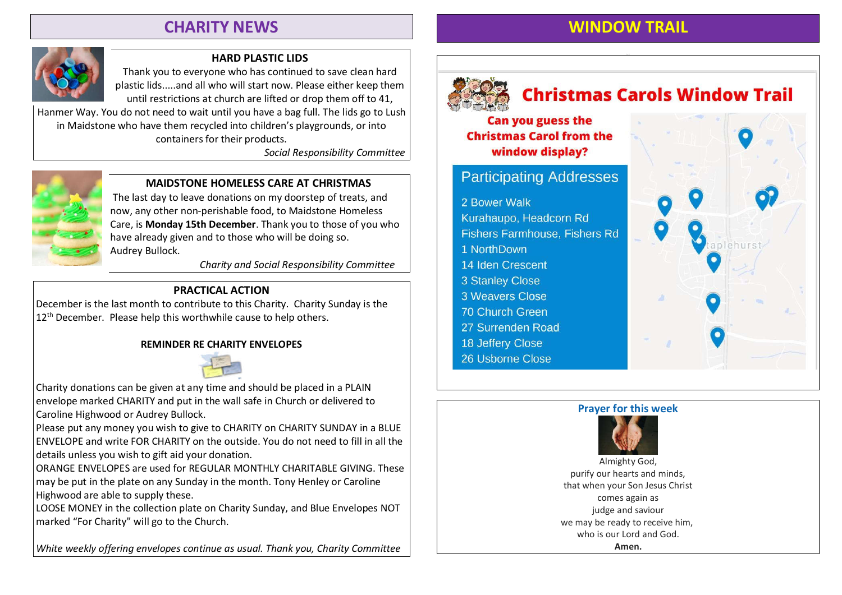# CHARITY NEWS



### HARD PLASTIC LIDS

Thank you to everyone who has continued to save clean hard plastic lids.....and all who will start now. Please either keep them until restrictions at church are lifted or drop them off to 41,

Hanmer Way. You do not need to wait until you have a bag full. The lids go to Lush in Maidstone who have them recycled into children's playgrounds, or into containers for their products.

Social Responsibility Committee



### MAIDSTONE HOMELESS CARE AT CHRISTMAS

The last day to leave donations on my doorstep of treats, and now, any other non-perishable food, to Maidstone Homeless Care, is Monday 15th December. Thank you to those of you who have already given and to those who will be doing so. Audrey Bullock.

Charity and Social Responsibility Committee

### PRACTICAL ACTION

December is the last month to contribute to this Charity. Charity Sunday is the  $12<sup>th</sup>$  December. Please help this worthwhile cause to help others.

#### REMINDER RE CHARITY ENVELOPES



Charity donations can be given at any time and should be placed in a PLAIN envelope marked CHARITY and put in the wall safe in Church or delivered to Caroline Highwood or Audrey Bullock.

Please put any money you wish to give to CHARITY on CHARITY SUNDAY in a BLUE ENVELOPE and write FOR CHARITY on the outside. You do not need to fill in all the details unless you wish to gift aid your donation.

ORANGE ENVELOPES are used for REGULAR MONTHLY CHARITABLE GIVING. These may be put in the plate on any Sunday in the month. Tony Henley or Caroline Highwood are able to supply these.

LOOSE MONEY in the collection plate on Charity Sunday, and Blue Envelopes NOT marked "For Charity" will go to the Church.

White weekly offering envelopes continue as usual. Thank you, Charity Committee



# **Christmas Carols Window Trail**

WINDOW TRAIL

**Can you guess the Christmas Carol from the** window display?

# **Participating Addresses**

2 Bower Walk

Kurahaupo, Headcorn Rd **Fishers Farmhouse, Fishers Rd** 1 NorthDown 14 Iden Crescent 3 Stanley Close 3 Weavers Close 70 Church Green 27 Surrenden Road 18 Jeffery Close 26 Usborne Close





purify our hearts and minds, that when your Son Jesus Christ comes again as judge and saviour we may be ready to receive him, who is our Lord and God. Amen.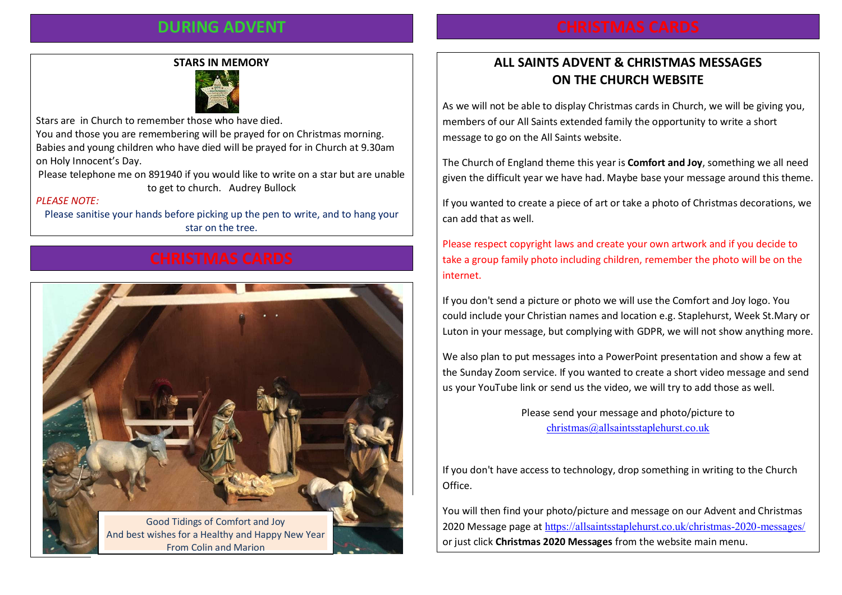## DURING ADVENT

#### STARS IN MEMORY



Stars are in Church to remember those who have died.

You and those you are remembering will be prayed for on Christmas morning. Babies and young children who have died will be prayed for in Church at 9.30am on Holy Innocent's Day.

Please telephone me on 891940 if you would like to write on a star but are unable to get to church. Audrey Bullock

#### PLEASE NOTE:

Please sanitise your hands before picking up the pen to write, and to hang your star on the tree.



# ALL SAINTS ADVENT & CHRISTMAS MESSAGES ON THE CHURCH WEBSITE

As we will not be able to display Christmas cards in Church, we will be giving you, members of our All Saints extended family the opportunity to write a short message to go on the All Saints website.

The Church of England theme this year is **Comfort and Joy**, something we all need given the difficult year we have had. Maybe base your message around this theme.

If you wanted to create a piece of art or take a photo of Christmas decorations, we can add that as well.

Please respect copyright laws and create your own artwork and if you decide to take a group family photo including children, remember the photo will be on the internet.

If you don't send a picture or photo we will use the Comfort and Joy logo. You could include your Christian names and location e.g. Staplehurst, Week St.Mary or Luton in your message, but complying with GDPR, we will not show anything more.

We also plan to put messages into a PowerPoint presentation and show a few at the Sunday Zoom service. If you wanted to create a short video message and send us your YouTube link or send us the video, we will try to add those as well.

> Please send your message and photo/picture to christmas@allsaintsstaplehurst.co.uk

If you don't have access to technology, drop something in writing to the Church Office.

You will then find your photo/picture and message on our Advent and Christmas 2020 Message page at https://allsaintsstaplehurst.co.uk/christmas-2020-messages/ or just click Christmas 2020 Messages from the website main menu.